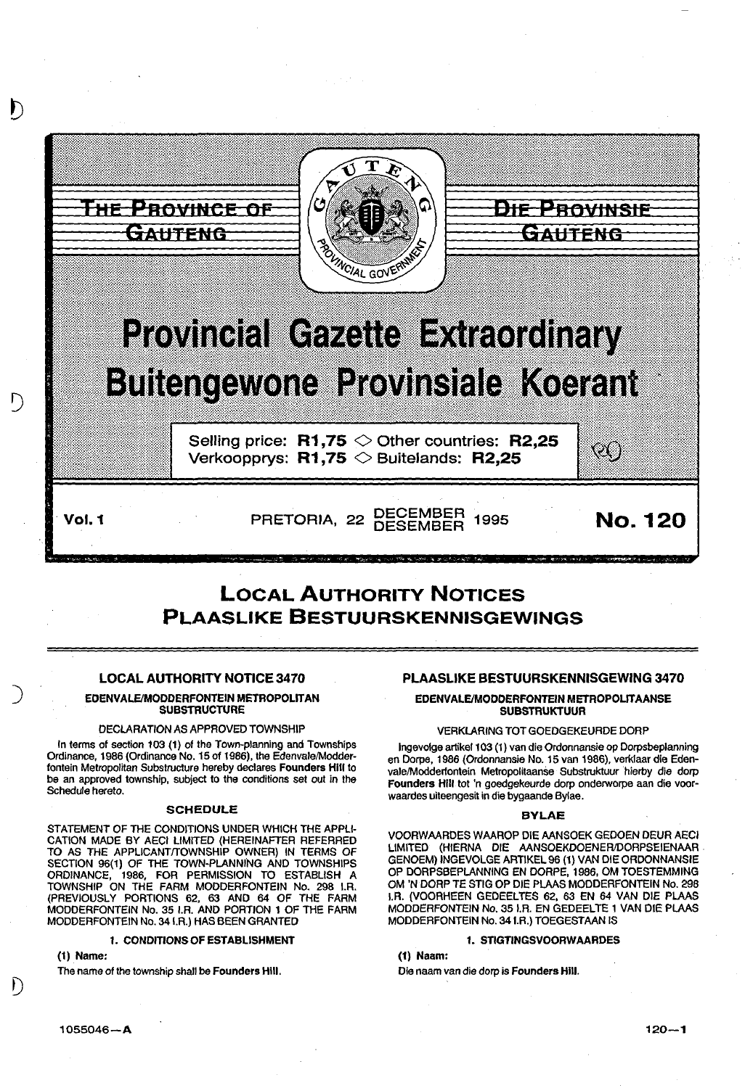

# LOCAL AUTHORITY NOTICES PLAASLIKE BESTUURSKENNISGEWINGS

# LOCAL AUTHORITY NOTICE 3470

## EDENVALE/MODDERFONTEIN METROPOLITAN **SUBSTRUCTURE**

#### DECLARATION AS APPROVED TOWNSHIP

In terms of section 103 (1) of the Town-planning and Townships Ordinance, 1986 (Ordinance No. 15 of 1966), the Edenvale/Modderfontein Metropolitan Substructure hereby declares Founders Hill to be an approved township, subject to the conditions set out in the Schedule hereto.

#### SCHEDULE

STATEMENT OF THE CONDITIONS UNDER WHICH THE APPLI-CATION MADE BY AECI LIMITED (HEREINAFTER REFERRED TO AS THE APPLICANT/TOWNSHIP OWNER) IN TERMS OF SECTION 96(1) OF THE TOWN-PLANNING AND TOWNSHIPS ORDINANCE, 1986, FOR PERMISSION TO ESTABLISH A TOWNSHIP ON THE FARM MODDERFONTEIN No. 298 I.A. (PREVIOUSLY PORTIONS 62, 63 AND 64 OF THE FARM MODDERFONTEIN No. 35 I.A. AND PORTION 1 OF THE FARM MODDERFONTEIN No. 341.R.) HAS BEEN GRANTED

#### 1. CONDITIONS OF ESTABLISHMENT

(1) Name:

)

D

The name of the township shall be Founders Hill.

# PLAASLIKE BESTUURSKENNISGEWING 3470

### EDENVALE/MODDERFONTEIN METROPOLIT AANSE **SUBSTRUKTUUR**

#### VERKLARING TOT GOEDGEKEURDE DORP

Ingevolge artikel 103 (1) van die Ordonnansie op Dorpsbeplanning en Dorpe, 1966 (Ordonnansie No. 15 van 1986), verklaar die Edenvale/Modderfontein Metropolitaanse Substruktuur hierby die dorp Founders Hill tot 'n goedgekeurde dorp onderworpe aan die voorwaardes uiteengesit in die bygaande Bylae.

#### BYLAE

VOORWAARDES WAAROP DIE AANSOEK GEDOEN DEUR AECI LIMITED (HIERNA DIE AANSOEKDOENERJDORPSEIENAAR . GENOEM) INGEVOLGE ARTIKEL 96 (1) VAN DIE OROONNANSIE OP DORPSBEPLANNING EN DORPE, 1966, OM TOESTEMMING OM 'N DORP TE STIG OP DIE PLAAS MODDERFONTEIN No. 296 I.A. (VOORHEEN GEDEELTES 62, 63 EN 64 VAN DIE PLAAS MODDERFONTEIN No. 351.R. EN GEDEELTE 1 VAN DIE PLAAS MODDERFONTEIN No. 341.R.) TOEGESTAAN IS

#### 1. STIGTINGSVOORWAARDES

(1) Naam:

Die naam van die dorp is Founders Hill.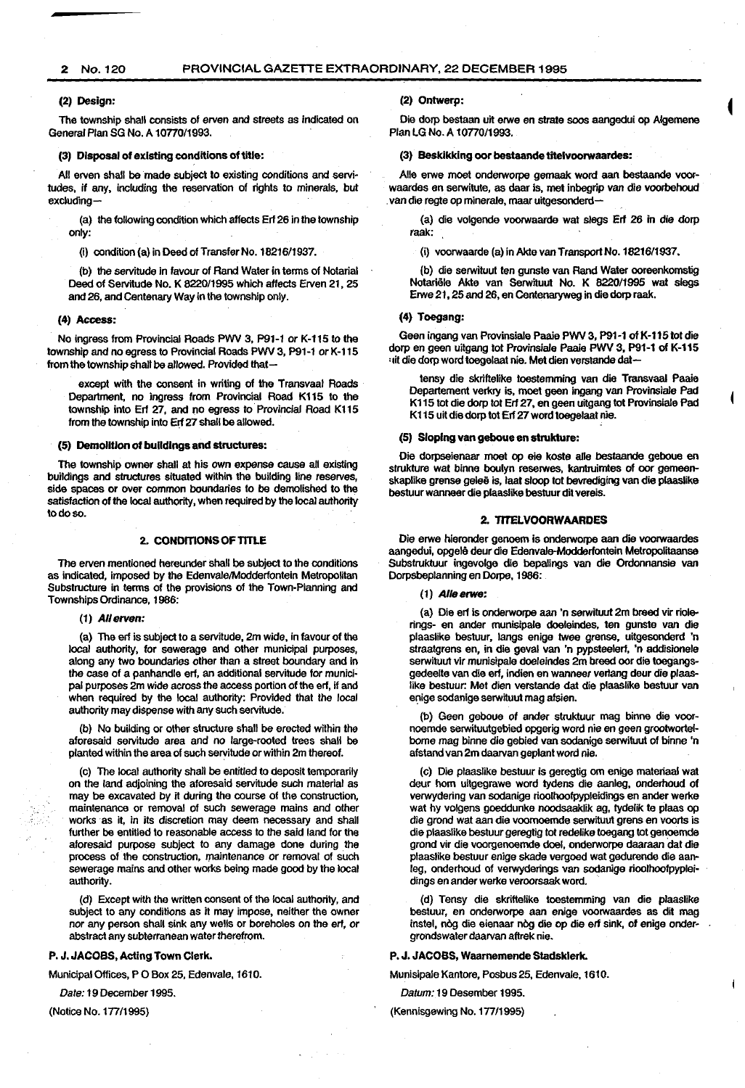#### 2 No.120 PROVINCIAL GAZETTE EXTRAORDINARY, 22 DECEMBER 1995

#### (2) Design:

The township shall consists of erven and streets as indicated on General Plan SG No. A 10770/1993.

#### (3) Disposal of existing conditions of title:

All erven shall be made subject to existing conditions and servi· tudes, if any, including the reservation of rights to minerals, but excluding-

(a) the following condition which affects Erf 26 in the township only:

(i) condition (a) in Deed of Transfer No. 18216/1937.

(b) the servitude in favour of Rand Water in terms of Notarial Deed of Servitude No. K 822011995 which affects Erven 21, 25 and 26, and Centenary Way in the township only.

#### (4) Access:

No ingress from Provincial Roads PWV 3, P91-1 or K-115 to the township and no egress to Provincial Roads PWV 3, P91-1 or K-115 from the township shall be allowed. Provided that-

except with the consent in writing of the Transvaal Roads Department, no ingress from Provincial Road K115 to the township into Erf 27, and no egress to Provincial Road K115 from the township into Erf 27 shall be allowed.

#### (5) Demolition of buildings and structures:

The township owner shall at his own expense cause all existing buildings and structures situated within the building line reserves. side spaces or over common boundaries to be demolished to the satisfaction of the local authority, when required by the local authority todoso.

#### 2. CONDITIONS OF TITLE

The erven mentioned hereunder shall be subject to the conditions as indicated, imposed by the Edenvale/Modderfontein Metropolitan Substructure in terms of the provisions of the Town-Planning and Townships Ordinance, 1986:

(1) *All* erven:

(a) The erf is subject to a servitude, 2m wide, in favour of the local authority, for sewerage and other municipal purposes, along *any* two boundaries other than a street boundary and in the case of a panhandle erf. an additional servitude for munici· pal purposes 2m wide across the access portion of the erf, if and when required by the local authority: Provided that the local authority may dispense with any such servitude.

(b) No building or other structure shall be erected within the aforesaid servitude area and no large-rooted trees shall be planted within the area of such servitude or within 2m thereof.

(c) The local authority shall be entitled to deposit temporarily on the land adjoining the aforesaid servitude such material as *may* be excavated by it during the course of the construction, maintenance or removal of such sewerage mains and other works as it, in its discretion *may* deem necessary and shall further be entitled to reasonable access to the said land for the aforesaid purpose subject to any damage done during the process of the construction, maintenance or removal of such sewerage mains and other works being made good by the local authority.

(d) Except with the written consent of the local authority, and subject to *any* conditions as it may impose, neither the owner nor *any* person shall sink *any* wells or boreholes on the erf, or abstract any subterranean water therefrom.

#### P. J. JACOBS, Acting Town Clerk.

Municipal Offices, P 0 Box 25, Edenvale, 1610.

*Date:* 19 December 1995.

(Notice No. 177/1995)

(2) Ontwerp:

Die dorp bestaan uit erwe en strata soos aangedui op Algemene Plan LG No. A 1077011993.

#### (3) Besklkklng oor bestaande titelvoorwaardes:

Aile erwe moet onderworpe gemaak word aan bestaande voorwaardes en serwitute, as daar is, met inbegrip van die voorbehoud van die regte op minerale, maar uitgesonderd-

(a) die volgende voorwaarde wat slegs Erf 26 in die dorp raak:

(i) voorwaarde (a) in Akte van Transport No. 1821611937.

(b) die serwituut ten gunste van Rand Water ooreenkomstig Notanele Akte van Serwituut No. K 822011995 wat slegs Erwe 21, 25 and 26, en Centenaryweg in die dorp raak.

#### (4) Toegang:

Geen ingang van Provinsiale Paaie PWV 3, P91·1 of K·115tot die dorp en geen uitgang tot Provinsiale Paaie PWV 3, P91-1 of K-115 • tit die dorp word toegelaat nie. Met dien verstande dat-

tensy die skriltelike toestemming van die Transvaal Paaie Departement verkry is, meet geen ingang van Provinsiale Pad K115 tot die dorp tot Erf 27, en geen uitgang tot Provinsiale Pad K115 uit die dorp tot Erf 27 word toegetaat nie.

#### (5) Sloping van geboue en strukture:

Die dorpseienaar moet op eie koste aile bestaande geboue en strukture wat binne boulyn reserwes, kantruimtes of oor gemeenskaplike grense geleë is, laat sloop tot bevrediging van die plaaslike bestuur wanneer die plaaslike bestuur dit vereis.

### 2. TITELVOORWAARDES

Die erwe hieronder genoem is onderworpe aan die voorwaardes aangedui, opgele deur die Edenvale-Moddertontein Metropolitaanse Substrukluur ingevolge die bepalings van die Ordonnansie van Oorpsbeplanning en Oorpe, 1986:

#### (1) Aile erwe:

(a) Die erf is onderworpe aan 'n serwituut 2m breed vir riolerings- en ander munisipale doeleindes, ten gunste van die plaaslike bestuur, langs enige twee grense, uitgesonderd 'n straatgrens en, in die geval van 'n pypsteelerf, 'n addisionele serwituut vir munisipale doeleindes 2m breed ocr die toegangsgedeelte van die erf, indien en wanneer verlang deur die plaaslike bestuur: Met dien verstande dat die plaaslike bestuur van enige sodanige serwituut mag afsien.

(b) Geen geboue of ander strukluur mag binne die voornoemde serwituutgebied opgerig word nie en geen grootwortelbome mag binne die gebied van sodanige serwituut of binne 'n afstand van 2m daarvan geplant word nie.

(c) Die plaaslike bestuur is geregtig om enige materiaal wat deur hom uitgegrawe word tydens die aanleg, onderhoud of verwydering van sodanige rioolhoofpypleidings en ander werke wat hy volgens goeddunke noodsaaklik ag, tydelik te plaas op die grond wat aan die voornoemde serwituut grens en voorts is die plaaslike bestuur geregtig tot redelike toegang tot genoemde grond vir die voorgenoemde doel, onderworpe daaraan dat die plaaslike bestuur enige skade vergoed wat gedurende die aanleg, onderhoud of verwyderings van sodanige rioolhoofpyplei· dings en ander werke veroorsaak word.

(d) Tensy die skriftelike toestemming van die plaaslike bestuur, en onderworpe aan enige voorwaardes as dit mag instel, nòg die eienaar nòg die op die erf sink, of enige ondergrondswater daarvan aftrek nie.

#### P. J. JACOBS, Waarnemende Stadskterk.

Munisipale Kantore, Posbus 25, Edenvale, 1610.

*Datum:* 19 Desember 1995.

#### (Kennisgewing No. 177/1995)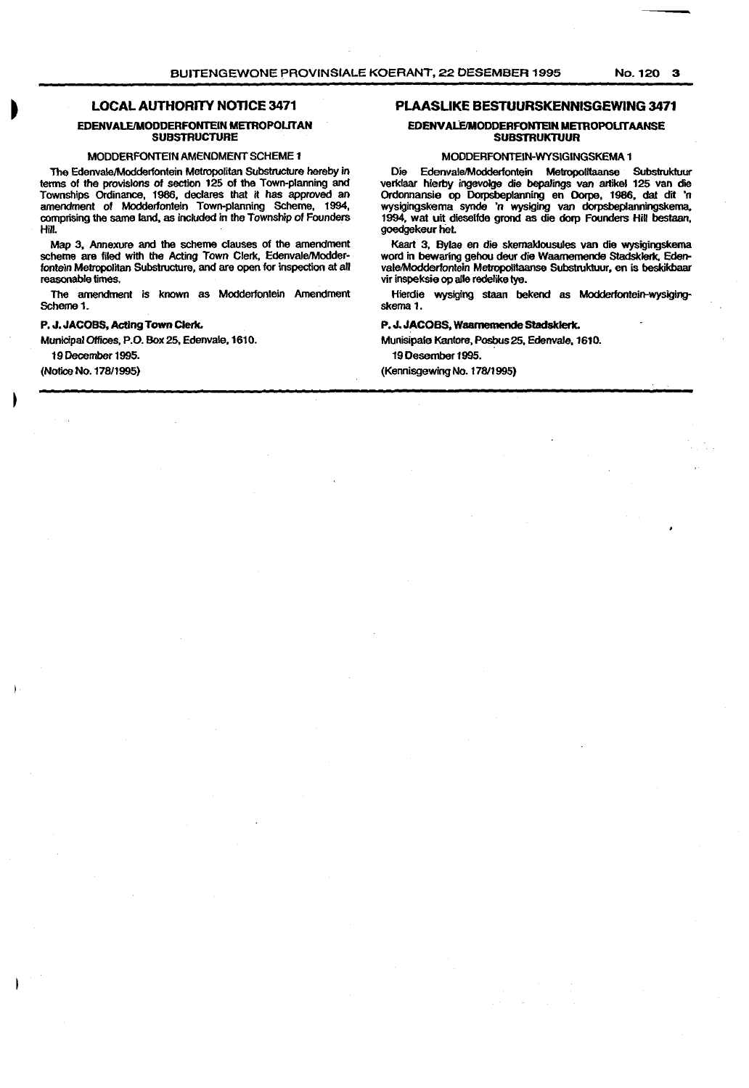# **LOCAL AUTHORITY NOTICE 3471**

#### **EDENVALE/MODDERFONTEIN METROPOLITAN SUBSTRUCTURE**

#### MODDERFONTEIN AMENDMENT SCHEME **1**

The Edenvale/Modderfontein Metropolitan Substructure hereby in terms of the provisions of section 125 of the Town-planning and Townships Ordinance, 1986, declares that it has approved an amendment of Modderfontein Town-planning Scheme, 1994, comprising the same land, as included in the Township of Founders Hill.

Map 3, Annexure and the scheme clauses of the amendment scheme are filed with the Acting Town Clerk, Edenvale/Modderfontein Metropolitan Substructure, and are open for inspection at all reasonable times.

The amendment is known as Modderfontein Amendment Scheme 1.

#### **P. J. JACOBS, Acting Town Clerk.**

Municipal Offices, P.O. Box25, Edenvale,1610.

19December1995.

(Notice No. 17811995)

#### **PLAASLIKE BESTUURSKENNISGEWING 3471**

#### EDENVALE/MODDERFONTEIN METROPOLITAANSE **SUBSTRUKTUUR**

#### MODDERFONTEIN-WYSIGINGSKEMA **1**

Die Edenvale/Modderlontein Metropolitaanse Subslrukluur verklaar hierby ingevolge die bepalings van artikel 125 van die Ordonnansie op Dorpsbeplanning en Dorpe, 1986, dat dit 'n wysigingskema synde 'n wysiging van dorpsbeplanningskema, 1994, wat uit dieselfde grond as die dorp Founders Hill beslaan, goedgekeur het.

Kaart 3, Bylae en die skemaklousules van die wysigingskema word in bewaring gehou deur die Waamemende Stadsklerk. Edenvale/Modderfontein Metropolitaanse Subslrukluur, en is beskikbaar vir inspeksie op aile redelike tye.

Hierdie wysiging staan bekend as Modderfontein-wysigingskema **1.** 

#### **P. J. JACOBS, Waamemende Stadsklerk.**

Munisipale Kantore, Posbus 25, Edenvale, 1610. 19 Desember 1995.

(Kennisgewing No. 178/1995)